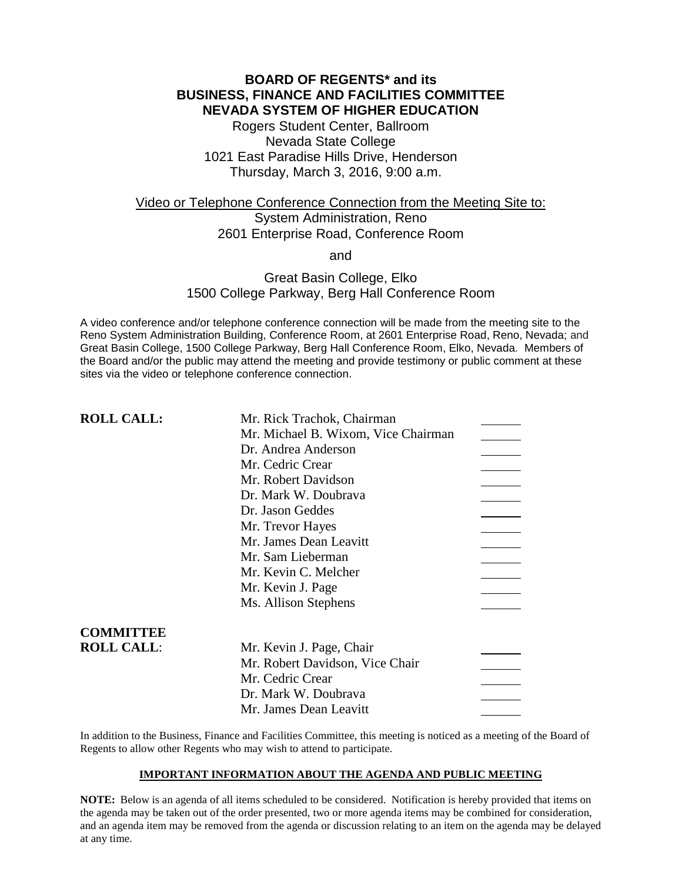# **BOARD OF REGENTS\* and its BUSINESS, FINANCE AND FACILITIES COMMITTEE NEVADA SYSTEM OF HIGHER EDUCATION**

Rogers Student Center, Ballroom Nevada State College 1021 East Paradise Hills Drive, Henderson Thursday, March 3, 2016, 9:00 a.m.

# Video or Telephone Conference Connection from the Meeting Site to: System Administration, Reno 2601 Enterprise Road, Conference Room

and

## Great Basin College, Elko 1500 College Parkway, Berg Hall Conference Room

A video conference and/or telephone conference connection will be made from the meeting site to the Reno System Administration Building, Conference Room, at 2601 Enterprise Road, Reno, Nevada; and Great Basin College, 1500 College Parkway, Berg Hall Conference Room, Elko, Nevada. Members of the Board and/or the public may attend the meeting and provide testimony or public comment at these sites via the video or telephone conference connection.

| <b>ROLL CALL:</b> | Mr. Rick Trachok, Chairman          |  |
|-------------------|-------------------------------------|--|
|                   | Mr. Michael B. Wixom, Vice Chairman |  |
|                   | Dr. Andrea Anderson                 |  |
|                   | Mr. Cedric Crear                    |  |
|                   | Mr. Robert Davidson                 |  |
|                   | Dr. Mark W. Doubrava                |  |
|                   | Dr. Jason Geddes                    |  |
|                   | Mr. Trevor Hayes                    |  |
|                   | Mr. James Dean Leavitt              |  |
|                   | Mr. Sam Lieberman                   |  |
|                   | Mr. Kevin C. Melcher                |  |
|                   | Mr. Kevin J. Page                   |  |
|                   | Ms. Allison Stephens                |  |
| <b>COMMITTEE</b>  |                                     |  |
| <b>ROLL CALL:</b> | Mr. Kevin J. Page, Chair            |  |
|                   | Mr. Robert Davidson, Vice Chair     |  |
|                   | Mr. Cedric Crear                    |  |
|                   | Dr. Mark W. Doubrava                |  |
|                   | Mr. James Dean Leavitt              |  |

In addition to the Business, Finance and Facilities Committee, this meeting is noticed as a meeting of the Board of Regents to allow other Regents who may wish to attend to participate.

### **IMPORTANT INFORMATION ABOUT THE AGENDA AND PUBLIC MEETING**

**NOTE:** Below is an agenda of all items scheduled to be considered. Notification is hereby provided that items on the agenda may be taken out of the order presented, two or more agenda items may be combined for consideration, and an agenda item may be removed from the agenda or discussion relating to an item on the agenda may be delayed at any time.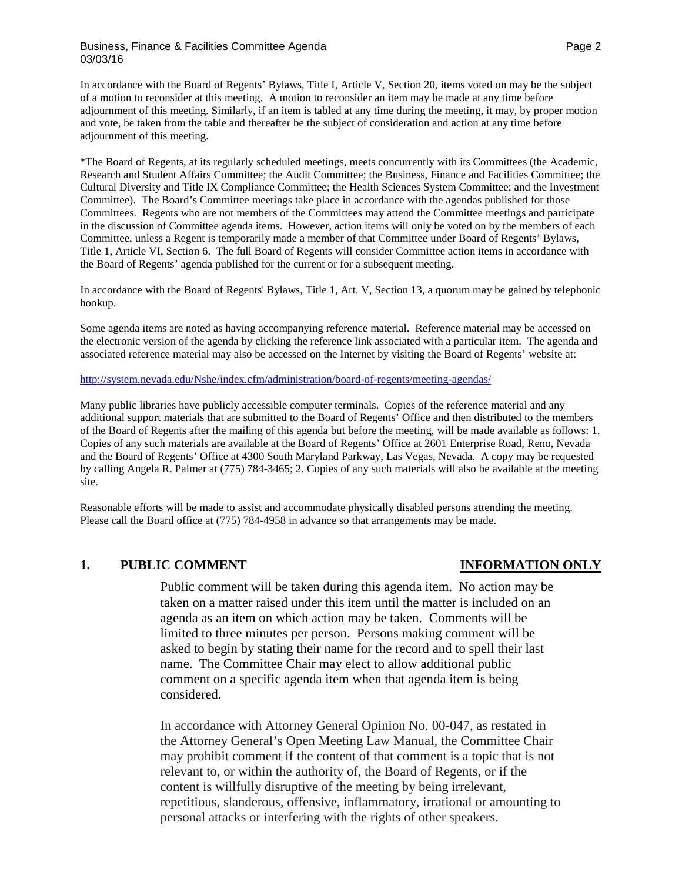### Business, Finance & Facilities Committee Agenda **Page 2** Assessment Rage 2 03/03/16

In accordance with the Board of Regents' Bylaws, Title I, Article V, Section 20, items voted on may be the subject of a motion to reconsider at this meeting. A motion to reconsider an item may be made at any time before adjournment of this meeting. Similarly, if an item is tabled at any time during the meeting, it may, by proper motion and vote, be taken from the table and thereafter be the subject of consideration and action at any time before adjournment of this meeting.

\*The Board of Regents, at its regularly scheduled meetings, meets concurrently with its Committees (the Academic, Research and Student Affairs Committee; the Audit Committee; the Business, Finance and Facilities Committee; the Cultural Diversity and Title IX Compliance Committee; the Health Sciences System Committee; and the Investment Committee). The Board's Committee meetings take place in accordance with the agendas published for those Committees. Regents who are not members of the Committees may attend the Committee meetings and participate in the discussion of Committee agenda items. However, action items will only be voted on by the members of each Committee, unless a Regent is temporarily made a member of that Committee under Board of Regents' Bylaws, Title 1, Article VI, Section 6. The full Board of Regents will consider Committee action items in accordance with the Board of Regents' agenda published for the current or for a subsequent meeting.

In accordance with the Board of Regents' Bylaws, Title 1, Art. V, Section 13, a quorum may be gained by telephonic hookup.

Some agenda items are noted as having accompanying reference material. Reference material may be accessed on the electronic version of the agenda by clicking the reference link associated with a particular item. The agenda and associated reference material may also be accessed on the Internet by visiting the Board of Regents' website at:

<http://system.nevada.edu/Nshe/index.cfm/administration/board-of-regents/meeting-agendas/>

Many public libraries have publicly accessible computer terminals. Copies of the reference material and any additional support materials that are submitted to the Board of Regents' Office and then distributed to the members of the Board of Regents after the mailing of this agenda but before the meeting, will be made available as follows: 1. Copies of any such materials are available at the Board of Regents' Office at 2601 Enterprise Road, Reno, Nevada and the Board of Regents' Office at 4300 South Maryland Parkway, Las Vegas, Nevada. A copy may be requested by calling Angela R. Palmer at (775) 784-3465; 2. Copies of any such materials will also be available at the meeting site.

Reasonable efforts will be made to assist and accommodate physically disabled persons attending the meeting. Please call the Board office at (775) 784-4958 in advance so that arrangements may be made.

### **1. PUBLIC COMMENT INFORMATION ONLY**

Public comment will be taken during this agenda item. No action may be taken on a matter raised under this item until the matter is included on an agenda as an item on which action may be taken. Comments will be limited to three minutes per person. Persons making comment will be asked to begin by stating their name for the record and to spell their last name. The Committee Chair may elect to allow additional public comment on a specific agenda item when that agenda item is being considered.

In accordance with Attorney General Opinion No. 00-047, as restated in the Attorney General's Open Meeting Law Manual, the Committee Chair may prohibit comment if the content of that comment is a topic that is not relevant to, or within the authority of, the Board of Regents, or if the content is willfully disruptive of the meeting by being irrelevant, repetitious, slanderous, offensive, inflammatory, irrational or amounting to personal attacks or interfering with the rights of other speakers.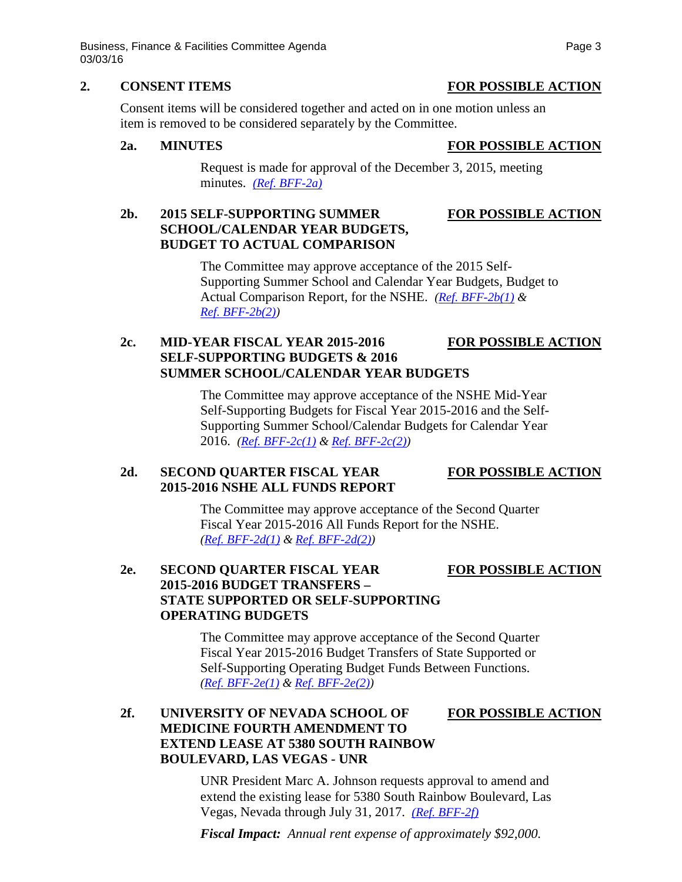Business, Finance & Facilities Committee Agenda **Page 3** Page 3 03/03/16

### **2. CONSENT ITEMS FOR POSSIBLE ACTION**

Consent items will be considered together and acted on in one motion unless an item is removed to be considered separately by the Committee.

### **2a. MINUTES FOR POSSIBLE ACTION**

Request is made for approval of the December 3, 2015, meeting minutes. *[\(Ref. BFF-2a\)](http://system.nevada.edu/tasks/sites/Nshe/assets/File/BoardOfRegents/Agendas/2016/mar-mtgs/bff-refs/BFF-2a.pdf)*

# **2b. 2015 SELF-SUPPORTING SUMMER FOR POSSIBLE ACTION SCHOOL/CALENDAR YEAR BUDGETS, BUDGET TO ACTUAL COMPARISON**

The Committee may approve acceptance of the 2015 Self-Supporting Summer School and Calendar Year Budgets, Budget to Actual Comparison Report, for the NSHE. *[\(Ref. BFF-2b\(1\)](http://system.nevada.edu/tasks/sites/Nshe/assets/File/BoardOfRegents/Agendas/2016/mar-mtgs/bff-refs/BFF-2b(1).pdf) & [Ref. BFF-2b\(2\)\)](http://system.nevada.edu/tasks/sites/Nshe/assets/File/BoardOfRegents/Agendas/2016/mar-mtgs/bff-refs/BFF-2b(2).pdf)*

# **2c. MID-YEAR FISCAL YEAR 2015-2016 FOR POSSIBLE ACTION SELF-SUPPORTING BUDGETS & 2016 SUMMER SCHOOL/CALENDAR YEAR BUDGETS**

The Committee may approve acceptance of the NSHE Mid-Year Self-Supporting Budgets for Fiscal Year 2015-2016 and the Self-Supporting Summer School/Calendar Budgets for Calendar Year 2016. *[\(Ref. BFF-2c\(1\)](http://system.nevada.edu/tasks/sites/Nshe/assets/File/BoardOfRegents/Agendas/2016/mar-mtgs/bff-refs/BFF-2c(1).pdf) & [Ref. BFF-2c\(2\)\)](http://system.nevada.edu/tasks/sites/Nshe/assets/File/BoardOfRegents/Agendas/2016/mar-mtgs/bff-refs/BFF-2c(2).pdf)*

# **2d. SECOND QUARTER FISCAL YEAR FOR POSSIBLE ACTION 2015-2016 NSHE ALL FUNDS REPORT**

The Committee may approve acceptance of the Second Quarter Fiscal Year 2015-2016 All Funds Report for the NSHE. *[\(Ref. BFF-2d\(1\)](http://system.nevada.edu/tasks/sites/Nshe/assets/File/BoardOfRegents/Agendas/2016/mar-mtgs/bff-refs/BFF-2d(1).pdf) & [Ref. BFF-2d\(2\)\)](http://system.nevada.edu/tasks/sites/Nshe/assets/File/BoardOfRegents/Agendas/2016/mar-mtgs/bff-refs/BFF-2d(2).pdf)*

# **2e. SECOND QUARTER FISCAL YEAR FOR POSSIBLE ACTION 2015-2016 BUDGET TRANSFERS – STATE SUPPORTED OR SELF-SUPPORTING OPERATING BUDGETS**

The Committee may approve acceptance of the Second Quarter Fiscal Year 2015-2016 Budget Transfers of State Supported or Self-Supporting Operating Budget Funds Between Functions. *[\(Ref. BFF-2e\(1\)](http://system.nevada.edu/tasks/sites/Nshe/assets/File/BoardOfRegents/Agendas/2016/mar-mtgs/bff-refs/BFF-2e(1).pdf) & [Ref. BFF-2e\(2\)\)](http://system.nevada.edu/tasks/sites/Nshe/assets/File/BoardOfRegents/Agendas/2016/mar-mtgs/bff-refs/BFF-2e(2).pdf)*

# **2f. UNIVERSITY OF NEVADA SCHOOL OF FOR POSSIBLE ACTION MEDICINE FOURTH AMENDMENT TO EXTEND LEASE AT 5380 SOUTH RAINBOW BOULEVARD, LAS VEGAS - UNR**

UNR President Marc A. Johnson requests approval to amend and extend the existing lease for 5380 South Rainbow Boulevard, Las Vegas, Nevada through July 31, 2017. *[\(Ref. BFF-2f\)](http://system.nevada.edu/tasks/sites/Nshe/assets/File/BoardOfRegents/Agendas/2016/mar-mtgs/bff-refs/BFF-2f.pdf)*

*Fiscal Impact: Annual rent expense of approximately \$92,000.*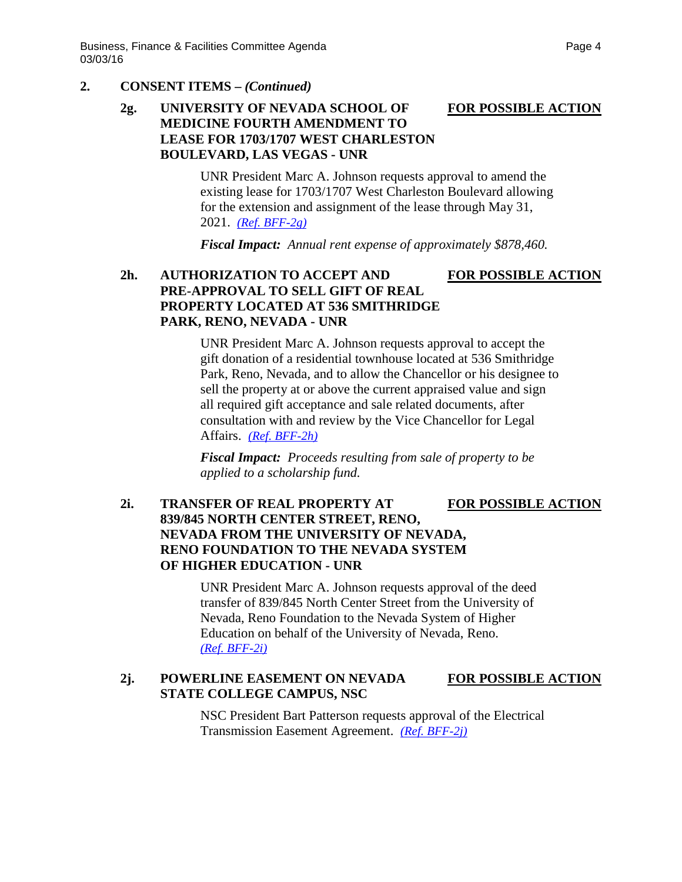### **2. CONSENT ITEMS –** *(Continued)*

# **2g. UNIVERSITY OF NEVADA SCHOOL OF FOR POSSIBLE ACTION MEDICINE FOURTH AMENDMENT TO LEASE FOR 1703/1707 WEST CHARLESTON BOULEVARD, LAS VEGAS - UNR**

UNR President Marc A. Johnson requests approval to amend the existing lease for 1703/1707 West Charleston Boulevard allowing for the extension and assignment of the lease through May 31, 2021. *[\(Ref. BFF-2g\)](http://system.nevada.edu/tasks/sites/Nshe/assets/File/BoardOfRegents/Agendas/2016/mar-mtgs/bff-refs/BFF-2g.pdf)*

*Fiscal Impact: Annual rent expense of approximately \$878,460.*

# **2h. AUTHORIZATION TO ACCEPT AND FOR POSSIBLE ACTION PRE-APPROVAL TO SELL GIFT OF REAL PROPERTY LOCATED AT 536 SMITHRIDGE PARK, RENO, NEVADA - UNR**

UNR President Marc A. Johnson requests approval to accept the gift donation of a residential townhouse located at 536 Smithridge Park, Reno, Nevada, and to allow the Chancellor or his designee to sell the property at or above the current appraised value and sign all required gift acceptance and sale related documents, after consultation with and review by the Vice Chancellor for Legal Affairs. *[\(Ref. BFF-2h\)](http://system.nevada.edu/tasks/sites/Nshe/assets/File/BoardOfRegents/Agendas/2016/mar-mtgs/bff-refs/BFF-2h.pdf)*

*Fiscal Impact: Proceeds resulting from sale of property to be applied to a scholarship fund.*

## **2i. TRANSFER OF REAL PROPERTY AT FOR POSSIBLE ACTION 839/845 NORTH CENTER STREET, RENO, NEVADA FROM THE UNIVERSITY OF NEVADA, RENO FOUNDATION TO THE NEVADA SYSTEM OF HIGHER EDUCATION - UNR**

UNR President Marc A. Johnson requests approval of the deed transfer of 839/845 North Center Street from the University of Nevada, Reno Foundation to the Nevada System of Higher Education on behalf of the University of Nevada, Reno. *[\(Ref. BFF-2i\)](http://system.nevada.edu/tasks/sites/Nshe/assets/File/BoardOfRegents/Agendas/2016/mar-mtgs/bff-refs/BFF-2i.pdf)*

## 2j. **POWERLINE EASEMENT ON NEVADA FOR POSSIBLE ACTION STATE COLLEGE CAMPUS, NSC**

NSC President Bart Patterson requests approval of the Electrical Transmission Easement Agreement. *[\(Ref. BFF-2j\)](http://system.nevada.edu/tasks/sites/Nshe/assets/File/BoardOfRegents/Agendas/2016/mar-mtgs/bff-refs/BFF-2j.pdf)*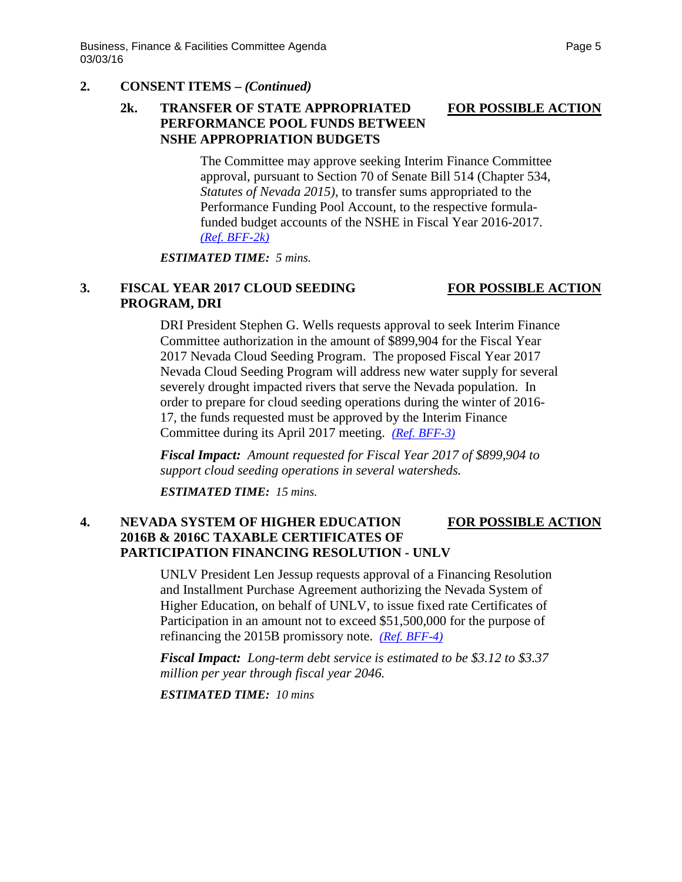# **2. CONSENT ITEMS –** *(Continued)*

## **2k. TRANSFER OF STATE APPROPRIATED FOR POSSIBLE ACTION PERFORMANCE POOL FUNDS BETWEEN NSHE APPROPRIATION BUDGETS**

The Committee may approve seeking Interim Finance Committee approval, pursuant to Section 70 of Senate Bill 514 (Chapter 534, *Statutes of Nevada 2015),* to transfer sums appropriated to the Performance Funding Pool Account, to the respective formulafunded budget accounts of the NSHE in Fiscal Year 2016-2017. *[\(Ref. BFF-2k\)](http://system.nevada.edu/tasks/sites/Nshe/assets/File/BoardOfRegents/Agendas/2016/mar-mtgs/bff-refs/BFF-2k.pdf)*

*ESTIMATED TIME: 5 mins.*

# **3. FISCAL YEAR 2017 CLOUD SEEDING FOR POSSIBLE ACTION PROGRAM, DRI**

DRI President Stephen G. Wells requests approval to seek Interim Finance Committee authorization in the amount of \$899,904 for the Fiscal Year 2017 Nevada Cloud Seeding Program. The proposed Fiscal Year 2017 Nevada Cloud Seeding Program will address new water supply for several severely drought impacted rivers that serve the Nevada population. In order to prepare for cloud seeding operations during the winter of 2016- 17, the funds requested must be approved by the Interim Finance Committee during its April 2017 meeting. *[\(Ref. BFF-3\)](http://system.nevada.edu/tasks/sites/Nshe/assets/File/BoardOfRegents/Agendas/2016/mar-mtgs/bff-refs/BFF-3.pdf)*

*Fiscal Impact: Amount requested for Fiscal Year 2017 of \$899,904 to support cloud seeding operations in several watersheds.*

*ESTIMATED TIME: 15 mins.*

# **4. NEVADA SYSTEM OF HIGHER EDUCATION FOR POSSIBLE ACTION 2016B & 2016C TAXABLE CERTIFICATES OF PARTICIPATION FINANCING RESOLUTION - UNLV**

UNLV President Len Jessup requests approval of a Financing Resolution and Installment Purchase Agreement authorizing the Nevada System of Higher Education, on behalf of UNLV, to issue fixed rate Certificates of Participation in an amount not to exceed \$51,500,000 for the purpose of refinancing the 2015B promissory note. *[\(Ref. BFF-4\)](http://system.nevada.edu/tasks/sites/Nshe/assets/File/BoardOfRegents/Agendas/2016/mar-mtgs/bff-refs/BFF-4.pdf)*

*Fiscal Impact: Long-term debt service is estimated to be \$3.12 to \$3.37 million per year through fiscal year 2046.*

*ESTIMATED TIME: 10 mins*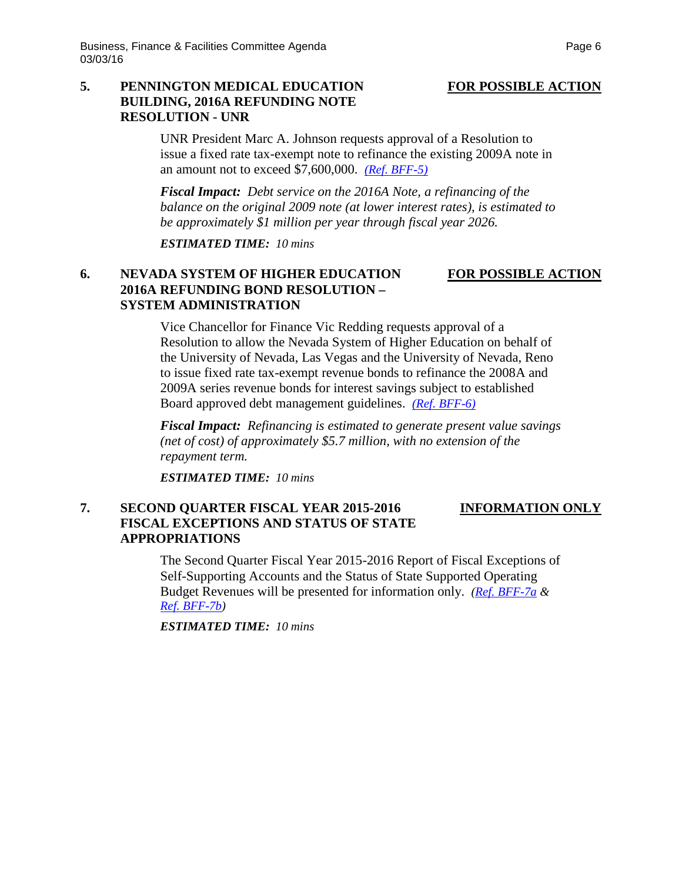# **5. PENNINGTON MEDICAL EDUCATION FOR POSSIBLE ACTION BUILDING, 2016A REFUNDING NOTE RESOLUTION - UNR**

UNR President Marc A. Johnson requests approval of a Resolution to issue a fixed rate tax-exempt note to refinance the existing 2009A note in an amount not to exceed \$7,600,000. *[\(Ref. BFF-5\)](http://system.nevada.edu/tasks/sites/Nshe/assets/File/BoardOfRegents/Agendas/2016/mar-mtgs/bff-refs/BFF-5.pdf)*

*Fiscal Impact: Debt service on the 2016A Note, a refinancing of the balance on the original 2009 note (at lower interest rates), is estimated to be approximately \$1 million per year through fiscal year 2026.*

*ESTIMATED TIME: 10 mins*

# **6. NEVADA SYSTEM OF HIGHER EDUCATION FOR POSSIBLE ACTION 2016A REFUNDING BOND RESOLUTION – SYSTEM ADMINISTRATION**

Vice Chancellor for Finance Vic Redding requests approval of a Resolution to allow the Nevada System of Higher Education on behalf of the University of Nevada, Las Vegas and the University of Nevada, Reno to issue fixed rate tax-exempt revenue bonds to refinance the 2008A and 2009A series revenue bonds for interest savings subject to established Board approved debt management guidelines. *[\(Ref. BFF-6\)](http://system.nevada.edu/tasks/sites/Nshe/assets/File/BoardOfRegents/Agendas/2016/mar-mtgs/bff-refs/BFF-6.pdf)*

*Fiscal Impact: Refinancing is estimated to generate present value savings (net of cost) of approximately \$5.7 million, with no extension of the repayment term.*

*ESTIMATED TIME: 10 mins*

## **7. SECOND QUARTER FISCAL YEAR 2015-2016 INFORMATION ONLY FISCAL EXCEPTIONS AND STATUS OF STATE APPROPRIATIONS**

The Second Quarter Fiscal Year 2015-2016 Report of Fiscal Exceptions of Self-Supporting Accounts and the Status of State Supported Operating Budget Revenues will be presented for information only. *[\(Ref. BFF-7a](http://system.nevada.edu/tasks/sites/Nshe/assets/File/BoardOfRegents/Agendas/2016/mar-mtgs/bff-refs/BFF-7a.pdf) & [Ref. BFF-7b\)](http://system.nevada.edu/tasks/sites/Nshe/assets/File/BoardOfRegents/Agendas/2016/mar-mtgs/bff-refs/BFF-7b.pdf)*

*ESTIMATED TIME: 10 mins*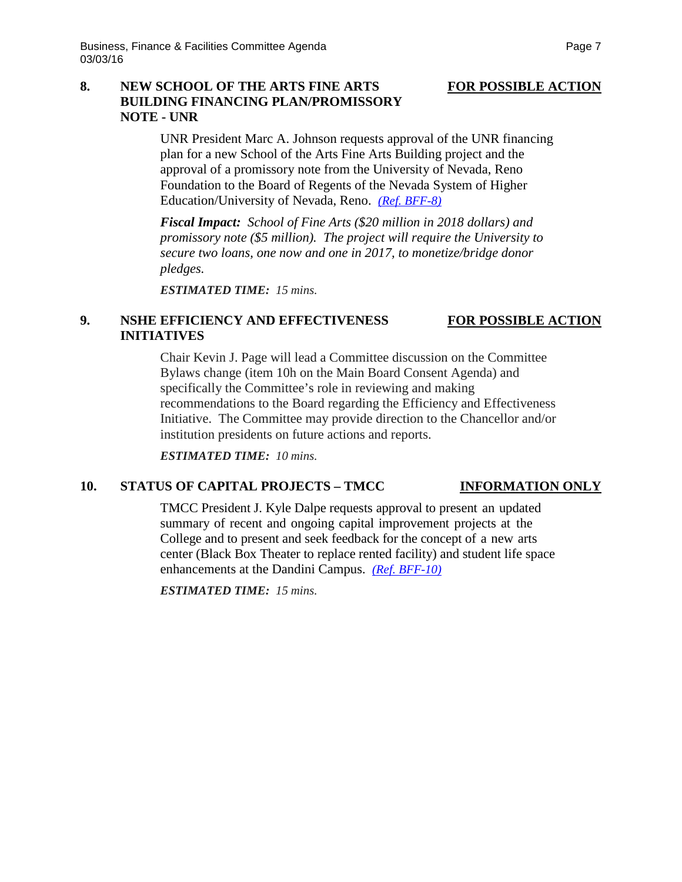# **8. NEW SCHOOL OF THE ARTS FINE ARTS FOR POSSIBLE ACTION BUILDING FINANCING PLAN/PROMISSORY NOTE - UNR**

UNR President Marc A. Johnson requests approval of the UNR financing plan for a new School of the Arts Fine Arts Building project and the approval of a promissory note from the University of Nevada, Reno Foundation to the Board of Regents of the Nevada System of Higher Education/University of Nevada, Reno. *[\(Ref. BFF-8\)](http://system.nevada.edu/tasks/sites/Nshe/assets/File/BoardOfRegents/Agendas/2016/mar-mtgs/bff-refs/BFF-8.pdf)*

*Fiscal Impact: School of Fine Arts (\$20 million in 2018 dollars) and promissory note (\$5 million). The project will require the University to secure two loans, one now and one in 2017, to monetize/bridge donor pledges.*

*ESTIMATED TIME: 15 mins.*

## **9. NSHE EFFICIENCY AND EFFECTIVENESS FOR POSSIBLE ACTION INITIATIVES**

# Chair Kevin J. Page will lead a Committee discussion on the Committee Bylaws change (item 10h on the Main Board Consent Agenda) and specifically the Committee's role in reviewing and making recommendations to the Board regarding the Efficiency and Effectiveness Initiative. The Committee may provide direction to the Chancellor and/or institution presidents on future actions and reports.

*ESTIMATED TIME: 10 mins.*

## **10. STATUS OF CAPITAL PROJECTS – TMCC INFORMATION ONLY**

TMCC President J. Kyle Dalpe requests approval to present an updated summary of recent and ongoing capital improvement projects at the College and to present and seek feedback for the concept of a new arts center (Black Box Theater to replace rented facility) and student life space enhancements at the Dandini Campus. *[\(Ref. BFF-10\)](http://system.nevada.edu/tasks/sites/Nshe/assets/File/BoardOfRegents/Agendas/2016/mar-mtgs/bff-refs/BFF-10.pdf)*

*ESTIMATED TIME: 15 mins.*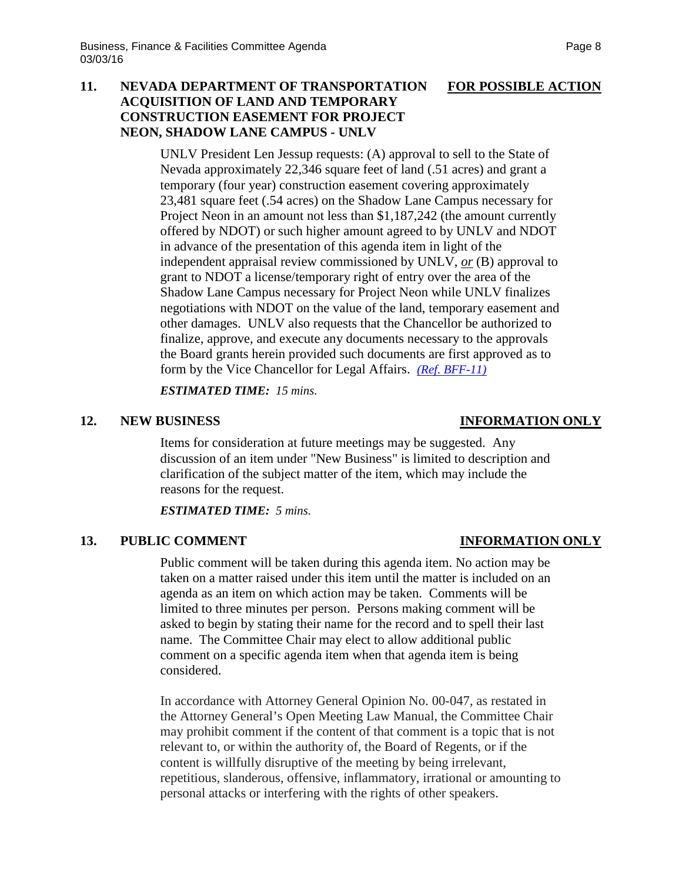# **11. NEVADA DEPARTMENT OF TRANSPORTATION FOR POSSIBLE ACTION ACQUISITION OF LAND AND TEMPORARY CONSTRUCTION EASEMENT FOR PROJECT NEON, SHADOW LANE CAMPUS - UNLV**

UNLV President Len Jessup requests: (A) approval to sell to the State of Nevada approximately 22,346 square feet of land (.51 acres) and grant a temporary (four year) construction easement covering approximately 23,481 square feet (.54 acres) on the Shadow Lane Campus necessary for Project Neon in an amount not less than \$1,187,242 (the amount currently offered by NDOT) or such higher amount agreed to by UNLV and NDOT in advance of the presentation of this agenda item in light of the independent appraisal review commissioned by UNLV, *or* (B) approval to grant to NDOT a license/temporary right of entry over the area of the Shadow Lane Campus necessary for Project Neon while UNLV finalizes negotiations with NDOT on the value of the land, temporary easement and other damages. UNLV also requests that the Chancellor be authorized to finalize, approve, and execute any documents necessary to the approvals the Board grants herein provided such documents are first approved as to form by the Vice Chancellor for Legal Affairs. *[\(Ref. BFF-11\)](http://system.nevada.edu/tasks/sites/Nshe/assets/File/BoardOfRegents/Agendas/2016/mar-mtgs/bff-refs/BFF-11.pdf)*

*ESTIMATED TIME: 15 mins.*

### **12. NEW BUSINESS INFORMATION ONLY**

Items for consideration at future meetings may be suggested. Any discussion of an item under "New Business" is limited to description and clarification of the subject matter of the item, which may include the reasons for the request.

*ESTIMATED TIME: 5 mins.*

## **13. PUBLIC COMMENT INFORMATION ONLY**

Public comment will be taken during this agenda item. No action may be taken on a matter raised under this item until the matter is included on an agenda as an item on which action may be taken. Comments will be limited to three minutes per person. Persons making comment will be asked to begin by stating their name for the record and to spell their last name. The Committee Chair may elect to allow additional public comment on a specific agenda item when that agenda item is being considered.

In accordance with Attorney General Opinion No. 00-047, as restated in the Attorney General's Open Meeting Law Manual, the Committee Chair may prohibit comment if the content of that comment is a topic that is not relevant to, or within the authority of, the Board of Regents, or if the content is willfully disruptive of the meeting by being irrelevant, repetitious, slanderous, offensive, inflammatory, irrational or amounting to personal attacks or interfering with the rights of other speakers.